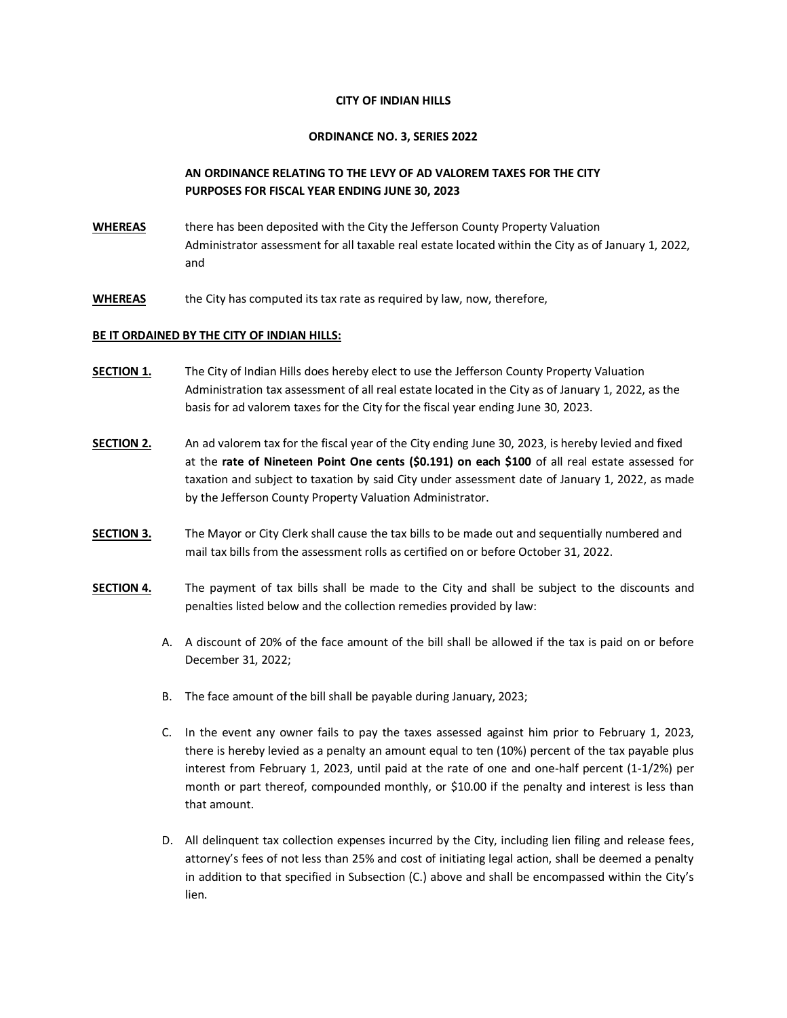## **CITY OF INDIAN HILLS**

## **ORDINANCE NO. 3, SERIES 2022**

## **AN ORDINANCE RELATING TO THE LEVY OF AD VALOREM TAXES FOR THE CITY PURPOSES FOR FISCAL YEAR ENDING JUNE 30, 2023**

- **WHEREAS** there has been deposited with the City the Jefferson County Property Valuation Administrator assessment for all taxable real estate located within the City as of January 1, 2022, and
- **WHEREAS** the City has computed its tax rate as required by law, now, therefore,

## **BE IT ORDAINED BY THE CITY OF INDIAN HILLS:**

- **SECTION 1.** The City of Indian Hills does hereby elect to use the Jefferson County Property Valuation Administration tax assessment of all real estate located in the City as of January 1, 2022, as the basis for ad valorem taxes for the City for the fiscal year ending June 30, 2023.
- **SECTION 2.** An ad valorem tax for the fiscal year of the City ending June 30, 2023, is hereby levied and fixed at the **rate of Nineteen Point One cents (\$0.191) on each \$100** of all real estate assessed for taxation and subject to taxation by said City under assessment date of January 1, 2022, as made by the Jefferson County Property Valuation Administrator.
- **SECTION 3.** The Mayor or City Clerk shall cause the tax bills to be made out and sequentially numbered and mail tax bills from the assessment rolls as certified on or before October 31, 2022.
- **SECTION 4.** The payment of tax bills shall be made to the City and shall be subject to the discounts and penalties listed below and the collection remedies provided by law:
	- A. A discount of 20% of the face amount of the bill shall be allowed if the tax is paid on or before December 31, 2022;
	- B. The face amount of the bill shall be payable during January, 2023;
	- C. In the event any owner fails to pay the taxes assessed against him prior to February 1, 2023, there is hereby levied as a penalty an amount equal to ten (10%) percent of the tax payable plus interest from February 1, 2023, until paid at the rate of one and one-half percent (1-1/2%) per month or part thereof, compounded monthly, or \$10.00 if the penalty and interest is less than that amount.
	- D. All delinquent tax collection expenses incurred by the City, including lien filing and release fees, attorney's fees of not less than 25% and cost of initiating legal action, shall be deemed a penalty in addition to that specified in Subsection (C.) above and shall be encompassed within the City's lien.